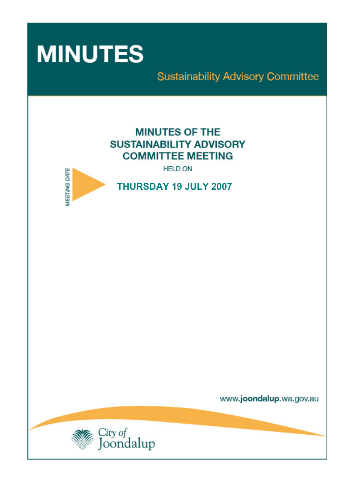

# **Sustainability Advisory Committee**

**MINUTES OF THE SUSTAINABILITY ADVISORY COMMITTEE MEETING** 

**HELD ON** 



**THURSDAY 19 JULY 2007** 

www.joondalup.wa.gov.au

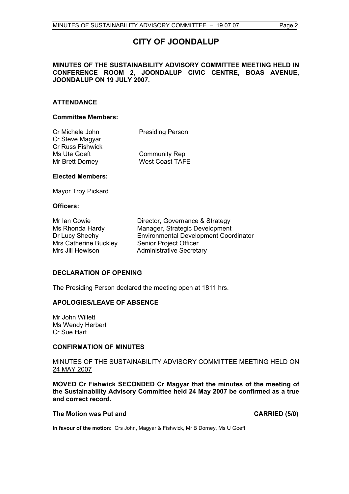# **CITY OF JOONDALUP**

### **MINUTES OF THE SUSTAINABILITY ADVISORY COMMITTEE MEETING HELD IN CONFERENCE ROOM 2, JOONDALUP CIVIC CENTRE, BOAS AVENUE, JOONDALUP ON 19 JULY 2007.**

### **ATTENDANCE**

#### **Committee Members:**

| Cr Michele John         | <b>Presiding Person</b> |
|-------------------------|-------------------------|
| Cr Steve Magyar         |                         |
| <b>Cr Russ Fishwick</b> |                         |
| Ms Ute Goeft            | <b>Community Rep</b>    |
| Mr Brett Dorney         | <b>West Coast TAFE</b>  |
|                         |                         |

#### **Elected Members:**

Mayor Troy Pickard

#### **Officers:**

Mrs Catherine Buckley Senior Project Officer Mrs Jill Hewison **Administrative Secretary** 

Mr Ian Cowie Director, Governance & Strategy Ms Rhonda Hardy Manager, Strategic Development Dr Lucy Sheehy Environmental Development Coordinator

#### **DECLARATION OF OPENING**

The Presiding Person declared the meeting open at 1811 hrs.

#### **APOLOGIES/LEAVE OF ABSENCE**

Mr John Willett Ms Wendy Herbert Cr Sue Hart

#### **CONFIRMATION OF MINUTES**

#### MINUTES OF THE SUSTAINABILITY ADVISORY COMMITTEE MEETING HELD ON 24 MAY 2007

**MOVED Cr Fishwick SECONDED Cr Magyar that the minutes of the meeting of the Sustainability Advisory Committee held 24 May 2007 be confirmed as a true and correct record.** 

#### The Motion was Put and **CARRIED** (5/0)

**In favour of the motion:** Crs John, Magyar & Fishwick, Mr B Dorney, Ms U Goeft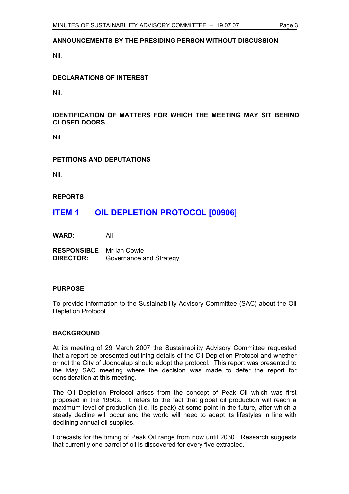# **ANNOUNCEMENTS BY THE PRESIDING PERSON WITHOUT DISCUSSION**

Nil.

# **DECLARATIONS OF INTEREST**

Nil.

### **IDENTIFICATION OF MATTERS FOR WHICH THE MEETING MAY SIT BEHIND CLOSED DOORS**

Nil.

#### **PETITIONS AND DEPUTATIONS**

Nil.

#### **REPORTS**

# **ITEM 1 OIL DEPLETION PROTOCOL [00906**]

**WARD:** All

**RESPONSIBLE** Mr Ian Cowie **DIRECTOR:** Governance and Strategy

#### **PURPOSE**

To provide information to the Sustainability Advisory Committee (SAC) about the Oil Depletion Protocol.

#### **BACKGROUND**

At its meeting of 29 March 2007 the Sustainability Advisory Committee requested that a report be presented outlining details of the Oil Depletion Protocol and whether or not the City of Joondalup should adopt the protocol. This report was presented to the May SAC meeting where the decision was made to defer the report for consideration at this meeting.

The Oil Depletion Protocol arises from the concept of Peak Oil which was first proposed in the 1950s. It refers to the fact that global oil production will reach a maximum level of production (i.e. its peak) at some point in the future, after which a steady decline will occur and the world will need to adapt its lifestyles in line with declining annual oil supplies.

Forecasts for the timing of Peak Oil range from now until 2030. Research suggests that currently one barrel of oil is discovered for every five extracted.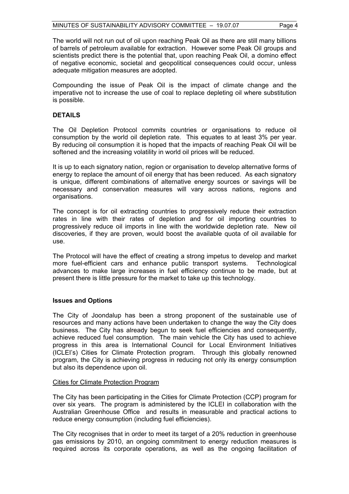The world will not run out of oil upon reaching Peak Oil as there are still many billions of barrels of petroleum available for extraction. However some Peak Oil groups and scientists predict there is the potential that, upon reaching Peak Oil, a domino effect of negative economic, societal and geopolitical consequences could occur, unless adequate mitigation measures are adopted.

Compounding the issue of Peak Oil is the impact of climate change and the imperative not to increase the use of coal to replace depleting oil where substitution is possible.

# **DETAILS**

The Oil Depletion Protocol commits countries or organisations to reduce oil consumption by the world oil depletion rate. This equates to at least 3% per year. By reducing oil consumption it is hoped that the impacts of reaching Peak Oil will be softened and the increasing volatility in world oil prices will be reduced.

It is up to each signatory nation, region or organisation to develop alternative forms of energy to replace the amount of oil energy that has been reduced. As each signatory is unique, different combinations of alternative energy sources or savings will be necessary and conservation measures will vary across nations, regions and organisations.

The concept is for oil extracting countries to progressively reduce their extraction rates in line with their rates of depletion and for oil importing countries to progressively reduce oil imports in line with the worldwide depletion rate. New oil discoveries, if they are proven, would boost the available quota of oil available for use.

The Protocol will have the effect of creating a strong impetus to develop and market more fuel-efficient cars and enhance public transport systems. Technological advances to make large increases in fuel efficiency continue to be made, but at present there is little pressure for the market to take up this technology.

#### **Issues and Options**

The City of Joondalup has been a strong proponent of the sustainable use of resources and many actions have been undertaken to change the way the City does business. The City has already begun to seek fuel efficiencies and consequently, achieve reduced fuel consumption. The main vehicle the City has used to achieve progress in this area is International Council for Local Environment Initiatives (ICLEI's) Cities for Climate Protection program. Through this globally renowned program, the City is achieving progress in reducing not only its energy consumption but also its dependence upon oil.

#### Cities for Climate Protection Program

The City has been participating in the Cities for Climate Protection (CCP) program for over six years. The program is administered by the ICLEI in collaboration with the Australian Greenhouse Office and results in measurable and practical actions to reduce energy consumption (including fuel efficiencies).

The City recognises that in order to meet its target of a 20% reduction in greenhouse gas emissions by 2010, an ongoing commitment to energy reduction measures is required across its corporate operations, as well as the ongoing facilitation of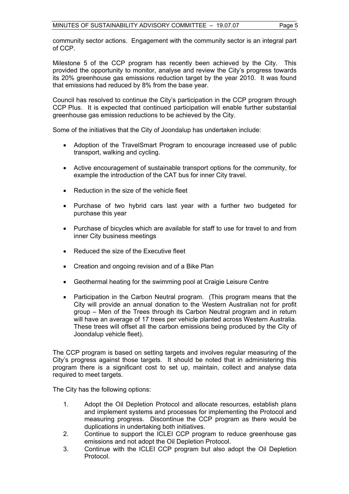community sector actions. Engagement with the community sector is an integral part of CCP.

Milestone 5 of the CCP program has recently been achieved by the City. This provided the opportunity to monitor, analyse and review the City's progress towards its 20% greenhouse gas emissions reduction target by the year 2010. It was found that emissions had reduced by 8% from the base year.

Council has resolved to continue the City's participation in the CCP program through CCP Plus. It is expected that continued participation will enable further substantial greenhouse gas emission reductions to be achieved by the City.

Some of the initiatives that the City of Joondalup has undertaken include:

- Adoption of the TravelSmart Program to encourage increased use of public transport, walking and cycling.
- Active encouragement of sustainable transport options for the community, for example the introduction of the CAT bus for inner City travel.
- Reduction in the size of the vehicle fleet
- Purchase of two hybrid cars last year with a further two budgeted for purchase this year
- Purchase of bicycles which are available for staff to use for travel to and from inner City business meetings
- Reduced the size of the Executive fleet
- Creation and ongoing revision and of a Bike Plan
- Geothermal heating for the swimming pool at Craigie Leisure Centre
- Participation in the Carbon Neutral program. (This program means that the City will provide an annual donation to the Western Australian not for profit group – Men of the Trees through its Carbon Neutral program and in return will have an average of 17 trees per vehicle planted across Western Australia. These trees will offset all the carbon emissions being produced by the City of Joondalup vehicle fleet).

The CCP program is based on setting targets and involves regular measuring of the City's progress against those targets. It should be noted that in administering this program there is a significant cost to set up, maintain, collect and analyse data required to meet targets.

The City has the following options:

- 1. Adopt the Oil Depletion Protocol and allocate resources, establish plans and implement systems and processes for implementing the Protocol and measuring progress. Discontinue the CCP program as there would be duplications in undertaking both initiatives.
- 2. Continue to support the ICLEI CCP program to reduce greenhouse gas emissions and not adopt the Oil Depletion Protocol.
- 3. Continue with the ICLEI CCP program but also adopt the Oil Depletion Protocol.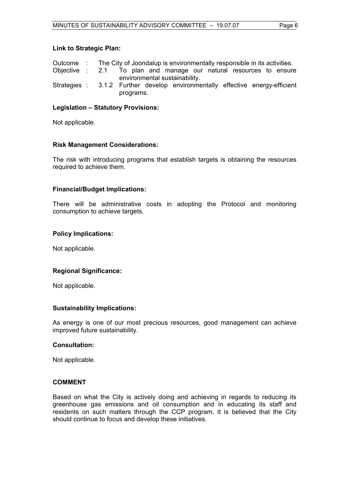# **Link to Strategic Plan:**

| Outcome : The City of Joondalup is environmentally responsible in its activities. |  |  |           |  |  |  |  |  |  |  |  |
|-----------------------------------------------------------------------------------|--|--|-----------|--|--|--|--|--|--|--|--|
| Objective : 2.1 To plan and manage our natural resources to ensure                |  |  |           |  |  |  |  |  |  |  |  |
| environmental sustainability.                                                     |  |  |           |  |  |  |  |  |  |  |  |
| Strategies : 3.1.2 Further develop environmentally effective energy-efficient     |  |  | programs. |  |  |  |  |  |  |  |  |

### **Legislation – Statutory Provisions:**

Not applicable.

#### **Risk Management Considerations:**

The risk with introducing programs that establish targets is obtaining the resources required to achieve them.

#### **Financial/Budget Implications:**

There will be administrative costs in adopting the Protocol and monitoring consumption to achieve targets.

#### **Policy Implications:**

Not applicable.

# **Regional Significance:**

Not applicable.

#### **Sustainability Implications:**

As energy is one of our most precious resources, good management can achieve improved future sustainability.

#### **Consultation:**

Not applicable.

#### **COMMENT**

Based on what the City is actively doing and achieving in regards to reducing its greenhouse gas emissions and oil consumption and in educating its staff and residents on such matters through the CCP program, it is believed that the City should continue to focus and develop these initiatives.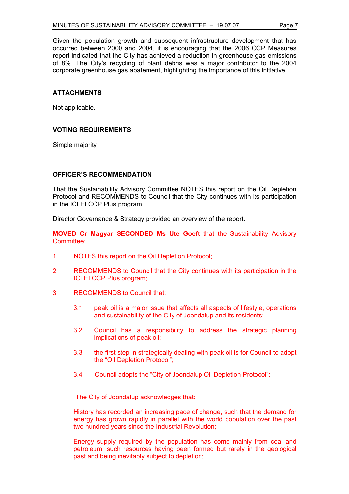Given the population growth and subsequent infrastructure development that has occurred between 2000 and 2004, it is encouraging that the 2006 CCP Measures report indicated that the City has achieved a reduction in greenhouse gas emissions of 8%. The City's recycling of plant debris was a major contributor to the 2004 corporate greenhouse gas abatement, highlighting the importance of this initiative.

# **ATTACHMENTS**

Not applicable.

#### **VOTING REQUIREMENTS**

Simple majority

#### **OFFICER'S RECOMMENDATION**

That the Sustainability Advisory Committee NOTES this report on the Oil Depletion Protocol and RECOMMENDS to Council that the City continues with its participation in the ICLEI CCP Plus program.

Director Governance & Strategy provided an overview of the report.

**MOVED Cr Magyar SECONDED Ms Ute Goeft** that the Sustainability Advisory Committee:

- 1 NOTES this report on the Oil Depletion Protocol;
- 2 RECOMMENDS to Council that the City continues with its participation in the ICLEI CCP Plus program;
- 3 RECOMMENDS to Council that:
	- 3.1 peak oil is a major issue that affects all aspects of lifestyle, operations and sustainability of the City of Joondalup and its residents;
	- 3.2 Council has a responsibility to address the strategic planning implications of peak oil;
	- 3.3 the first step in strategically dealing with peak oil is for Council to adopt the "Oil Depletion Protocol";
	- 3.4 Council adopts the "City of Joondalup Oil Depletion Protocol":

"The City of Joondalup acknowledges that:

History has recorded an increasing pace of change, such that the demand for energy has grown rapidly in parallel with the world population over the past two hundred years since the Industrial Revolution;

Energy supply required by the population has come mainly from coal and petroleum, such resources having been formed but rarely in the geological past and being inevitably subject to depletion;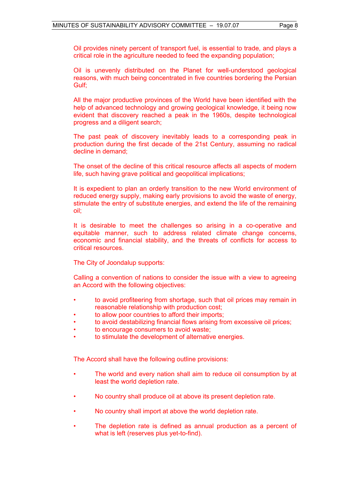Oil provides ninety percent of transport fuel, is essential to trade, and plays a critical role in the agriculture needed to feed the expanding population;

Oil is unevenly distributed on the Planet for well-understood geological reasons, with much being concentrated in five countries bordering the Persian Gulf;

All the major productive provinces of the World have been identified with the help of advanced technology and growing geological knowledge, it being now evident that discovery reached a peak in the 1960s, despite technological progress and a diligent search;

The past peak of discovery inevitably leads to a corresponding peak in production during the first decade of the 21st Century, assuming no radical decline in demand;

The onset of the decline of this critical resource affects all aspects of modern life, such having grave political and geopolitical implications;

It is expedient to plan an orderly transition to the new World environment of reduced energy supply, making early provisions to avoid the waste of energy, stimulate the entry of substitute energies, and extend the life of the remaining oil;

It is desirable to meet the challenges so arising in a co-operative and equitable manner, such to address related climate change concerns, economic and financial stability, and the threats of conflicts for access to critical resources.

The City of Joondalup supports:

Calling a convention of nations to consider the issue with a view to agreeing an Accord with the following objectives:

- to avoid profiteering from shortage, such that oil prices may remain in reasonable relationship with production cost;
- to allow poor countries to afford their imports;
- to avoid destabilizing financial flows arising from excessive oil prices;
- to encourage consumers to avoid waste;
- to stimulate the development of alternative energies.

The Accord shall have the following outline provisions:

- The world and every nation shall aim to reduce oil consumption by at least the world depletion rate.
- No country shall produce oil at above its present depletion rate.
- No country shall import at above the world depletion rate.
- The depletion rate is defined as annual production as a percent of what is left (reserves plus vet-to-find).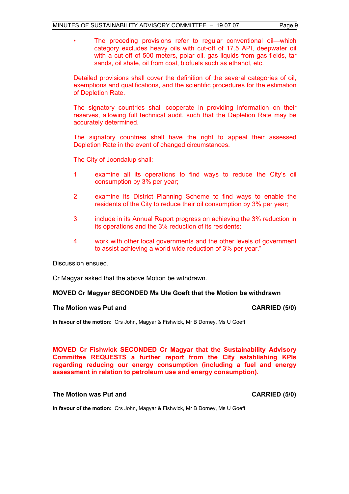- 
- The preceding provisions refer to regular conventional oil—which category excludes heavy oils with cut-off of 17.5 API, deepwater oil with a cut-off of 500 meters, polar oil, gas liquids from gas fields, tar sands, oil shale, oil from coal, biofuels such as ethanol, etc.

Detailed provisions shall cover the definition of the several categories of oil, exemptions and qualifications, and the scientific procedures for the estimation of Depletion Rate.

The signatory countries shall cooperate in providing information on their reserves, allowing full technical audit, such that the Depletion Rate may be accurately determined.

The signatory countries shall have the right to appeal their assessed Depletion Rate in the event of changed circumstances.

The City of Joondalup shall:

- 1 examine all its operations to find ways to reduce the City's oil consumption by 3% per year;
- 2 examine its District Planning Scheme to find ways to enable the residents of the City to reduce their oil consumption by 3% per year;
- 3 include in its Annual Report progress on achieving the 3% reduction in its operations and the 3% reduction of its residents;
- 4 work with other local governments and the other levels of government to assist achieving a world wide reduction of 3% per year."

Discussion ensued.

Cr Magyar asked that the above Motion be withdrawn.

# **MOVED Cr Magyar SECONDED Ms Ute Goeft that the Motion be withdrawn**

#### **The Motion was Put and CARRIED (5/0)**

**In favour of the motion:** Crs John, Magyar & Fishwick, Mr B Dorney, Ms U Goeft

**MOVED Cr Fishwick SECONDED Cr Magyar that the Sustainability Advisory Committee REQUESTS a further report from the City establishing KPIs regarding reducing our energy consumption (including a fuel and energy assessment in relation to petroleum use and energy consumption).** 

### The Motion was Put and **CARRIED** (5/0)

**In favour of the motion:** Crs John, Magyar & Fishwick, Mr B Dorney, Ms U Goeft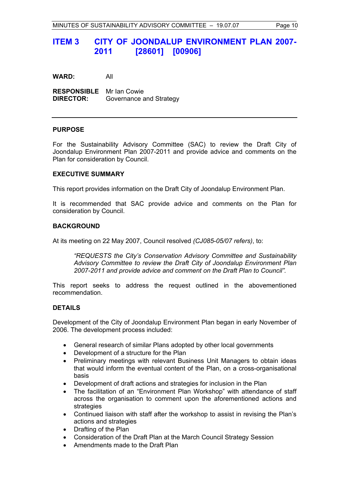# **ITEM 3 CITY OF JOONDALUP ENVIRONMENT PLAN 2007- 2011 [28601] [00906]**

**WARD:** All

**RESPONSIBLE** Mr Ian Cowie **DIRECTOR:** Governance and Strategy

#### **PURPOSE**

For the Sustainability Advisory Committee (SAC) to review the Draft City of Joondalup Environment Plan 2007-2011 and provide advice and comments on the Plan for consideration by Council.

#### **EXECUTIVE SUMMARY**

This report provides information on the Draft City of Joondalup Environment Plan.

It is recommended that SAC provide advice and comments on the Plan for consideration by Council.

#### **BACKGROUND**

At its meeting on 22 May 2007, Council resolved *(CJ085-05/07 refers)*, to:

*"REQUESTS the City's Conservation Advisory Committee and Sustainability Advisory Committee to review the Draft City of Joondalup Environment Plan 2007-2011 and provide advice and comment on the Draft Plan to Council".* 

This report seeks to address the request outlined in the abovementioned recommendation.

#### **DETAILS**

Development of the City of Joondalup Environment Plan began in early November of 2006. The development process included:

- General research of similar Plans adopted by other local governments
- Development of a structure for the Plan
- Preliminary meetings with relevant Business Unit Managers to obtain ideas that would inform the eventual content of the Plan, on a cross-organisational basis
- Development of draft actions and strategies for inclusion in the Plan
- The facilitation of an "Environment Plan Workshop" with attendance of staff across the organisation to comment upon the aforementioned actions and strategies
- Continued liaison with staff after the workshop to assist in revising the Plan's actions and strategies
- Drafting of the Plan
- Consideration of the Draft Plan at the March Council Strategy Session
- Amendments made to the Draft Plan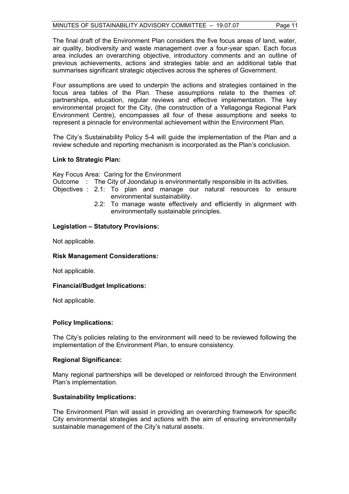The final draft of the Environment Plan considers the five focus areas of land, water, air quality, biodiversity and waste management over a four-year span. Each focus area includes an overarching objective, introductory comments and an outline of previous achievements, actions and strategies table and an additional table that summarises significant strategic objectives across the spheres of Government.

Four assumptions are used to underpin the actions and strategies contained in the focus area tables of the Plan. These assumptions relate to the themes of: partnerships, education, regular reviews and effective implementation. The key environmental project for the City, (the construction of a Yellagonga Regional Park Environment Centre), encompasses all four of these assumptions and seeks to represent a pinnacle for environmental achievement within the Environment Plan.

The City's Sustainability Policy 5-4 will guide the implementation of the Plan and a review schedule and reporting mechanism is incorporated as the Plan's conclusion.

# **Link to Strategic Plan:**

Key Focus Area: Caring for the Environment

Outcome : The City of Joondalup is environmentally responsible in its activities.

Objectives : 2.1: To plan and manage our natural resources to ensure environmental sustainability.

 2.2: To manage waste effectively and efficiently in alignment with environmentally sustainable principles.

#### **Legislation – Statutory Provisions:**

Not applicable.

#### **Risk Management Considerations:**

Not applicable.

# **Financial/Budget Implications:**

Not applicable.

# **Policy Implications:**

The City's policies relating to the environment will need to be reviewed following the implementation of the Environment Plan, to ensure consistency.

#### **Regional Significance:**

Many regional partnerships will be developed or reinforced through the Environment Plan's implementation.

#### **Sustainability Implications:**

The Environment Plan will assist in providing an overarching framework for specific City environmental strategies and actions with the aim of ensuring environmentally sustainable management of the City's natural assets.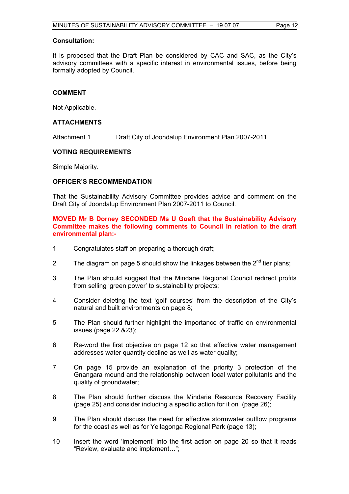#### **Consultation:**

It is proposed that the Draft Plan be considered by CAC and SAC, as the City's advisory committees with a specific interest in environmental issues, before being formally adopted by Council.

#### **COMMENT**

Not Applicable.

#### **ATTACHMENTS**

Attachment 1 Draft City of Joondalup Environment Plan 2007-2011.

#### **VOTING REQUIREMENTS**

Simple Majority.

#### **OFFICER'S RECOMMENDATION**

That the Sustainability Advisory Committee provides advice and comment on the Draft City of Joondalup Environment Plan 2007-2011 to Council.

#### **MOVED Mr B Dorney SECONDED Ms U Goeft that the Sustainability Advisory Committee makes the following comments to Council in relation to the draft environmental plan:-**

- 1 Congratulates staff on preparing a thorough draft;
- 2 The diagram on page 5 should show the linkages between the  $2<sup>nd</sup>$  tier plans:
- 3 The Plan should suggest that the Mindarie Regional Council redirect profits from selling 'green power' to sustainability projects;
- 4 Consider deleting the text 'golf courses' from the description of the City's natural and built environments on page 8;
- 5 The Plan should further highlight the importance of traffic on environmental issues (page 22 &23);
- 6 Re-word the first objective on page 12 so that effective water management addresses water quantity decline as well as water quality;
- 7 On page 15 provide an explanation of the priority 3 protection of the Gnangara mound and the relationship between local water pollutants and the quality of groundwater;
- 8 The Plan should further discuss the Mindarie Resource Recovery Facility (page 25) and consider including a specific action for it on (page 26);
- 9 The Plan should discuss the need for effective stormwater outflow programs for the coast as well as for Yellagonga Regional Park (page 13);
- 10 Insert the word 'implement' into the first action on page 20 so that it reads "Review, evaluate and implement…";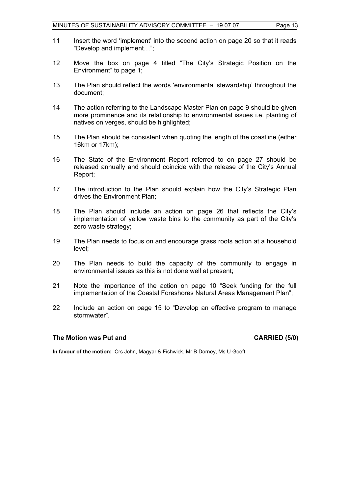- 11 Insert the word 'implement' into the second action on page 20 so that it reads "Develop and implement…";
- 12 Move the box on page 4 titled "The City's Strategic Position on the Environment" to page 1;
- 13 The Plan should reflect the words 'environmental stewardship' throughout the document;
- 14 The action referring to the Landscape Master Plan on page 9 should be given more prominence and its relationship to environmental issues i.e. planting of natives on verges, should be highlighted;
- 15 The Plan should be consistent when quoting the length of the coastline (either 16km or 17km);
- 16 The State of the Environment Report referred to on page 27 should be released annually and should coincide with the release of the City's Annual Report;
- 17 The introduction to the Plan should explain how the City's Strategic Plan drives the Environment Plan;
- 18 The Plan should include an action on page 26 that reflects the City's implementation of yellow waste bins to the community as part of the City's zero waste strategy;
- 19 The Plan needs to focus on and encourage grass roots action at a household level;
- 20 The Plan needs to build the capacity of the community to engage in environmental issues as this is not done well at present;
- 21 Note the importance of the action on page 10 "Seek funding for the full implementation of the Coastal Foreshores Natural Areas Management Plan";
- 22 Include an action on page 15 to "Develop an effective program to manage stormwater".

# **The Motion was Put and CARRIED (5/0)**

**In favour of the motion:** Crs John, Magyar & Fishwick, Mr B Dorney, Ms U Goeft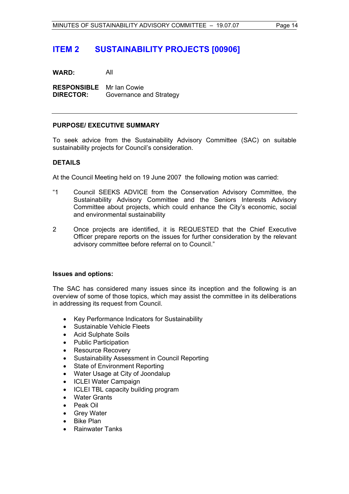# **ITEM 2 SUSTAINABILITY PROJECTS [00906]**

**WARD:** All

**RESPONSIBLE** Mr Ian Cowie **DIRECTOR:** Governance and Strategy

#### **PURPOSE/ EXECUTIVE SUMMARY**

To seek advice from the Sustainability Advisory Committee (SAC) on suitable sustainability projects for Council's consideration.

# **DETAILS**

At the Council Meeting held on 19 June 2007 the following motion was carried:

- "1 Council SEEKS ADVICE from the Conservation Advisory Committee, the Sustainability Advisory Committee and the Seniors Interests Advisory Committee about projects, which could enhance the City's economic, social and environmental sustainability
- 2 Once projects are identified, it is REQUESTED that the Chief Executive Officer prepare reports on the issues for further consideration by the relevant advisory committee before referral on to Council."

#### **Issues and options:**

The SAC has considered many issues since its inception and the following is an overview of some of those topics, which may assist the committee in its deliberations in addressing its request from Council.

- Key Performance Indicators for Sustainability
- Sustainable Vehicle Fleets
- Acid Sulphate Soils
- Public Participation
- Resource Recovery
- Sustainability Assessment in Council Reporting
- State of Environment Reporting
- Water Usage at City of Joondalup
- ICLEI Water Campaign
- ICLEI TBL capacity building program
- Water Grants
- Peak Oil
- Grey Water
- Bike Plan
- Rainwater Tanks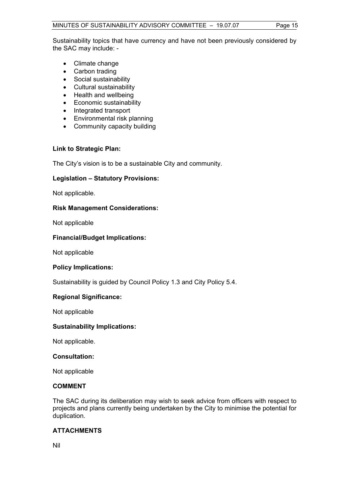Sustainability topics that have currency and have not been previously considered by the SAC may include: -

- Climate change
- Carbon trading
- Social sustainability
- Cultural sustainability
- Health and wellbeing
- Economic sustainability
- Integrated transport
- Environmental risk planning
- Community capacity building

# **Link to Strategic Plan:**

The City's vision is to be a sustainable City and community.

# **Legislation – Statutory Provisions:**

Not applicable.

# **Risk Management Considerations:**

Not applicable

# **Financial/Budget Implications:**

Not applicable

# **Policy Implications:**

Sustainability is guided by Council Policy 1.3 and City Policy 5.4.

# **Regional Significance:**

Not applicable

# **Sustainability Implications:**

Not applicable.

# **Consultation:**

Not applicable

# **COMMENT**

The SAC during its deliberation may wish to seek advice from officers with respect to projects and plans currently being undertaken by the City to minimise the potential for duplication.

# **ATTACHMENTS**

Nil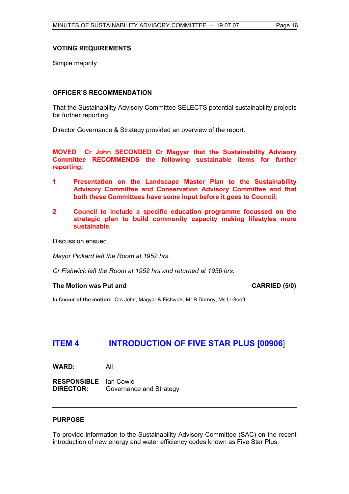### **VOTING REQUIREMENTS**

Simple majority

#### **OFFICER'S RECOMMENDATION**

That the Sustainability Advisory Committee SELECTS potential sustainability projects for further reporting.

Director Governance & Strategy provided an overview of the report.

**MOVED Cr John SECONDED Cr Magyar that the Sustainability Advisory Committee RECOMMENDS the following sustainable items for further reporting:** 

- **1 Presentation on the Landscape Master Plan to the Sustainability Advisory Committee and Conservation Advisory Committee and that both these Committees have some input before it goes to Council;**
- **2 Council to include a specific education programme focussed on the strategic plan to build community capacity making lifestyles more sustainable.**

Discussion ensued.

*Mayor Pickard left the Room at 1952 hrs.* 

*Cr Fishwick left the Room at 1952 hrs and returned at 1956 hrs.* 

The Motion was Put and **CARRIED** (5/0)

**In favour of the motion:** Crs John, Magyar & Fishwick, Mr B Dorney, Ms U Goeft

# **ITEM 4 INTRODUCTION OF FIVE STAR PLUS [00906**]

**WARD:** All

**RESPONSIBLE** Ian Cowie **DIRECTOR:** Governance and Strategy

#### **PURPOSE**

To provide information to the Sustainability Advisory Committee (SAC) on the recent introduction of new energy and water efficiency codes known as Five Star Plus.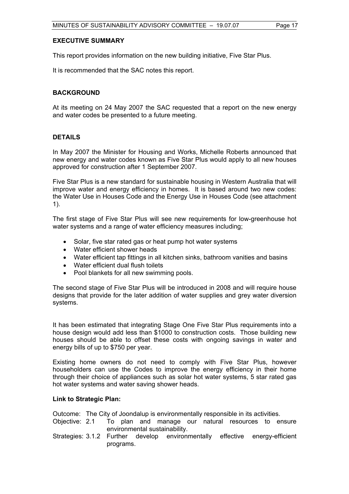# **EXECUTIVE SUMMARY**

This report provides information on the new building initiative, Five Star Plus.

It is recommended that the SAC notes this report.

### **BACKGROUND**

At its meeting on 24 May 2007 the SAC requested that a report on the new energy and water codes be presented to a future meeting.

#### **DETAILS**

In May 2007 the Minister for Housing and Works, Michelle Roberts announced that new energy and water codes known as Five Star Plus would apply to all new houses approved for construction after 1 September 2007.

Five Star Plus is a new standard for sustainable housing in Western Australia that will improve water and energy efficiency in homes. It is based around two new codes: the Water Use in Houses Code and the Energy Use in Houses Code (see attachment 1).

The first stage of Five Star Plus will see new requirements for low-greenhouse hot water systems and a range of water efficiency measures including;

- Solar, five star rated gas or heat pump hot water systems
- Water efficient shower heads
- Water efficient tap fittings in all kitchen sinks, bathroom vanities and basins
- Water efficient dual flush toilets
- Pool blankets for all new swimming pools.

The second stage of Five Star Plus will be introduced in 2008 and will require house designs that provide for the later addition of water supplies and grey water diversion systems.

It has been estimated that integrating Stage One Five Star Plus requirements into a house design would add less than \$1000 to construction costs. Those building new houses should be able to offset these costs with ongoing savings in water and energy bills of up to \$750 per year.

Existing home owners do not need to comply with Five Star Plus, however householders can use the Codes to improve the energy efficiency in their home through their choice of appliances such as solar hot water systems, 5 star rated gas hot water systems and water saving shower heads.

#### **Link to Strategic Plan:**

- Outcome: The City of Joondalup is environmentally responsible in its activities.
- Objective: 2.1 To plan and manage our natural resources to ensure environmental sustainability.
- Strategies: 3.1.2 Further develop environmentally effective energy-efficient programs.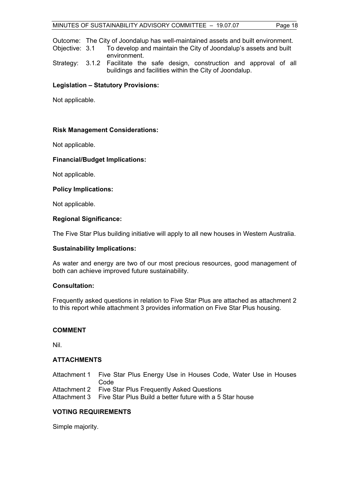Outcome: The City of Joondalup has well-maintained assets and built environment.

Objective: 3.1 To develop and maintain the City of Joondalup's assets and built environment.

Strategy: 3.1.2 Facilitate the safe design, construction and approval of all buildings and facilities within the City of Joondalup.

### **Legislation – Statutory Provisions:**

Not applicable.

#### **Risk Management Considerations:**

Not applicable.

#### **Financial/Budget Implications:**

Not applicable.

#### **Policy Implications:**

Not applicable.

#### **Regional Significance:**

The Five Star Plus building initiative will apply to all new houses in Western Australia.

#### **Sustainability Implications:**

As water and energy are two of our most precious resources, good management of both can achieve improved future sustainability.

#### **Consultation:**

Frequently asked questions in relation to Five Star Plus are attached as attachment 2 to this report while attachment 3 provides information on Five Star Plus housing.

# **COMMENT**

Nil.

# **ATTACHMENTS**

Attachment 1 Five Star Plus Energy Use in Houses Code, Water Use in Houses Code

Attachment 2 Five Star Plus Frequently Asked Questions

Attachment 3 Five Star Plus Build a better future with a 5 Star house

# **VOTING REQUIREMENTS**

Simple majority.